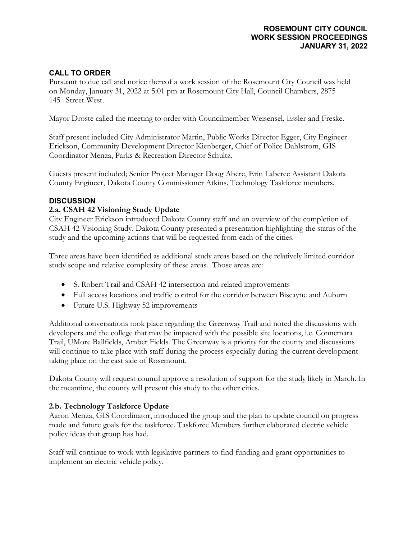#### **ROSEMOUNT CITY COUNCIL WORK SESSION PROCEEDINGS JANUARY 31, 2022**

# **CALL TO ORDER**

Pursuant to due call and notice thereof a work session of the Rosemount City Council was held on Monday, January 31, 2022 at 5:01 pm at Rosemount City Hall, Council Chambers, 2875 145<sup>th</sup> Street West.

Mayor Droste called the meeting to order with Councilmember Weisensel, Essler and Freske.

Staff present included City Administrator Martin, Public Works Director Egger, City Engineer Erickson, Community Development Director Kienberger, Chief of Police Dahlstrom, GIS Coordinator Menza, Parks & Recreation Director Schultz.

Guests present included; Senior Project Manager Doug Abere, Erin Laberee Assistant Dakota County Engineer, Dakota County Commissioner Atkins. Technology Taskforce members.

## **DISCUSSION**

## **2.a. CSAH 42 Visioning Study Update**

City Engineer Erickson introduced Dakota County staff and an overview of the completion of CSAH 42 Visioning Study. Dakota County presented a presentation highlighting the status of the study and the upcoming actions that will be requested from each of the cities.

Three areas have been identified as additional study areas based on the relatively limited corridor study scope and relative complexity of these areas. Those areas are:

- S. Robert Trail and CSAH 42 intersection and related improvements
- Full access locations and traffic control for the corridor between Biscayne and Auburn
- Future U.S. Highway 52 improvements

Additional conversations took place regarding the Greenway Trail and noted the discussions with developers and the college that may be impacted with the possible site locations, i.e. Connemara Trail, UMore Ballfields, Amber Fields. The Greenway is a priority for the county and discussions will continue to take place with staff during the process especially during the current development taking place on the east side of Rosemount.

Dakota County will request council approve a resolution of support for the study likely in March. In the meantime, the county will present this study to the other cities.

## **2.b. Technology Taskforce Update**

Aaron Menza, GIS Coordinator, introduced the group and the plan to update council on progress made and future goals for the taskforce. Taskforce Members further elaborated electric vehicle policy ideas that group has had.

Staff will continue to work with legislative partners to find funding and grant opportunities to implement an electric vehicle policy.